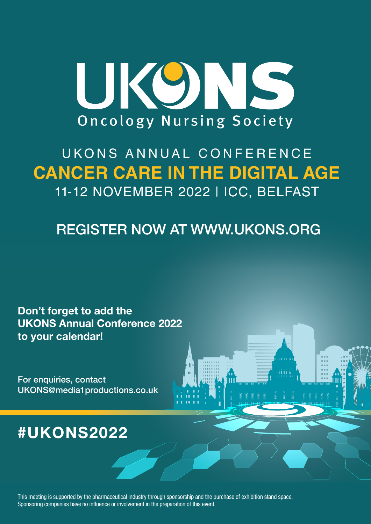

# UKONS ANNUAL CONFERENCE **CANCER CARE IN THE DIGITAL AGE** 11-12 NOVEMBER 2022 | ICC, BELFAST

REGISTER NOW AT WWW.UKONS.ORG

Don't forget to add the UKONS Annual Conference 2022 to your calendar!

For enquiries, contact UKONS@media1productions.co.uk

## #UKONS2022

This meeting is supported by the pharmaceutical industry through sponsorship and the purchase of exhibition stand space. Sponsoring companies have no influence or involvement in the preparation of this event.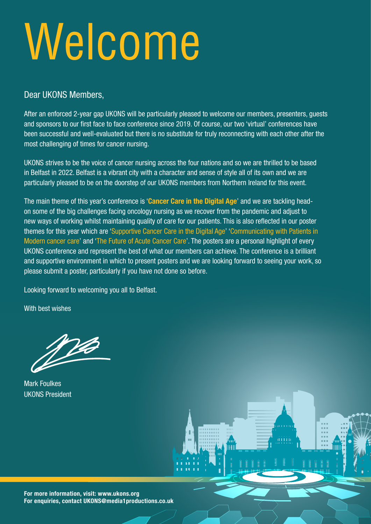# Welcome

#### Dear UKONS Members,

After an enforced 2-year gap UKONS will be particularly pleased to welcome our members, presenters, guests and sponsors to our first face to face conference since 2019. Of course, our two 'virtual' conferences have been successful and well-evaluated but there is no substitute for truly reconnecting with each other after the most challenging of times for cancer nursing.

UKONS strives to be the voice of cancer nursing across the four nations and so we are thrilled to be based in Belfast in 2022. Belfast is a vibrant city with a character and sense of style all of its own and we are particularly pleased to be on the doorstep of our UKONS members from Northern Ireland for this event.

The main theme of this year's conference is 'Cancer Care in the Digital Age' and we are tackling headon some of the big challenges facing oncology nursing as we recover from the pandemic and adjust to new ways of working whilst maintaining quality of care for our patients. This is also reflected in our poster themes for this year which are 'Supportive Cancer Care in the Digital Age' 'Communicating with Patients in Modern cancer care' and 'The Future of Acute Cancer Care'. The posters are a personal highlight of every UKONS conference and represent the best of what our members can achieve. The conference is a brilliant and supportive environment in which to present posters and we are looking forward to seeing your work, so please submit a poster, particularly if you have not done so before.

Looking forward to welcoming you all to Belfast.

With best wishes

Mark Foulkes UKONS President

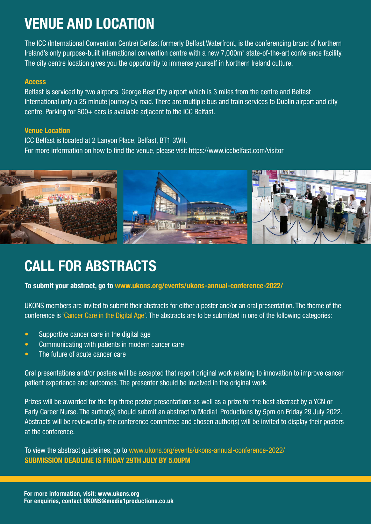# VENUE AND LOCATION

The ICC (International Convention Centre) Belfast formerly Belfast Waterfront, is the conferencing brand of Northern Ireland's only purpose-built international convention centre with a new 7,000m<sup>2</sup> state-of-the-art conference facility. The city centre location gives you the opportunity to immerse yourself in Northern Ireland culture.

#### Access

Belfast is serviced by two airports, George Best City airport which is 3 miles from the centre and Belfast International only a 25 minute journey by road. There are multiple bus and train services to Dublin airport and city centre. Parking for 800+ cars is available adjacent to the ICC Belfast.

#### Venue Location

ICC Belfast is located at 2 Lanyon Place, Belfast, BT1 3WH. For more information on how to find the venue, please visit https://www.iccbelfast.com/visitor



### CALL FOR ABSTRACTS

#### To submit your abstract, go to [www.ukons.org/events/ukons-annual-conference-2022/](http://www.ukons.org/events/ukons-annual-conference-2022/)

UKONS members are invited to submit their abstracts for either a poster and/or an oral presentation. The theme of the conference is 'Cancer Care in the Digital Age'. The abstracts are to be submitted in one of the following categories:

- Supportive cancer care in the digital age
- Communicating with patients in modern cancer care
- The future of acute cancer care

Oral presentations and/or posters will be accepted that report original work relating to innovation to improve cancer patient experience and outcomes. The presenter should be involved in the original work.

Prizes will be awarded for the top three poster presentations as well as a prize for the best abstract by a YCN or Early Career Nurse. The author(s) should submit an abstract to Media1 Productions by 5pm on Friday 29 July 2022. Abstracts will be reviewed by the conference committee and chosen author(s) will be invited to display their posters at the conference.

To view the abstract guidelines, go to [www.ukons.org/events/ukons-annual-conference-2022/](http://www.ukons.org/events/ukons-annual-conference-2022/ ) [SUBMISSION DEADLINE IS FRIDAY 29TH JULY BY 5.00PM](http://www.ukons.org/events/ukons-annual-conference-2022/ )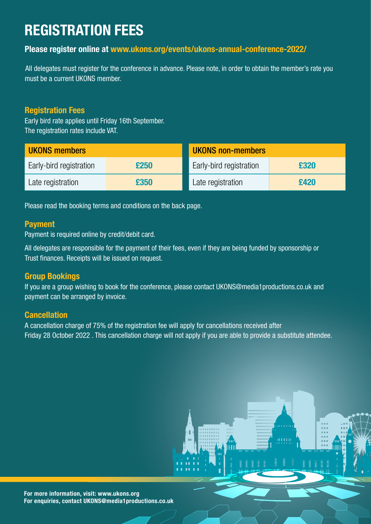# REGISTRATION FEES

#### Please register online at [www.ukons.org/events/ukons-annual-conference-2022/](http://www.ukons.org/events/ukons-annual-conference-2022)

All delegates must register for the conference in advance. Please note, in order to obtain the member's rate you must be a current UKONS member.

#### Registration Fees

Early bird rate applies until Friday 16th September. The registration rates include VAT.

| <b>UKONS members</b>    |      | <b>UKONS non-members</b> |      |  |
|-------------------------|------|--------------------------|------|--|
| Early-bird registration | £250 | Early-bird registration  | £320 |  |
| Late registration       | £350 | Late registration        | £420 |  |

Please read the booking terms and conditions on the back page.

#### Payment

Payment is required online by credit/debit card.

All delegates are responsible for the payment of their fees, even if they are being funded by sponsorship or Trust finances. Receipts will be issued on request.

#### Group Bookings

If you are a group wishing to book for the conference, please contact UKONS@media1productions.co.uk and payment can be arranged by invoice.

#### **Cancellation**

A cancellation charge of 75% of the registration fee will apply for cancellations received after Friday 28 October 2022 . This cancellation charge will not apply if you are able to provide a substitute attendee.

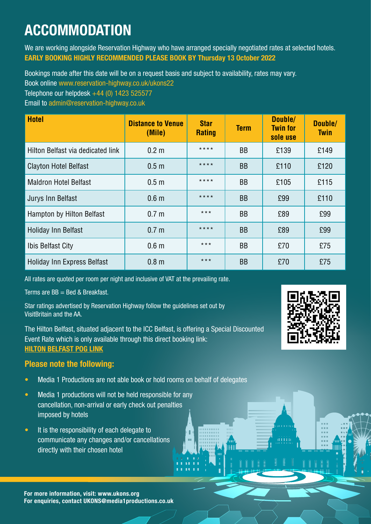# ACCOMMODATION

We are working alongside Reservation Highway who have arranged specially negotiated rates at selected hotels. EARLY BOOKING HIGHLY RECOMMENDED PLEASE BOOK BY Thursday 13 October 2022

Bookings made after this date will be on a request basis and subject to availability, rates may vary.

Book online [www.reservation-highway.co.uk/ukons22](http://www.reservation-highway.co.uk/ukons22)

Telephone our helpdesk +44 (0) 1423 525577

Email to [admin@reservation-highway.co.uk](mailto:admin%40reservation-highway.co.uk?subject=)

| <b>Hotel</b>                       | <b>Distance to Venue</b><br>(Mile) | <b>Star</b><br><b>Rating</b> | <b>Term</b> | Double/<br><b>Twin for</b><br>sole use | Double/<br><b>Twin</b> |
|------------------------------------|------------------------------------|------------------------------|-------------|----------------------------------------|------------------------|
| Hilton Belfast via dedicated link  | 0.2 <sub>m</sub>                   | $***$ *                      | <b>BB</b>   | £139                                   | £149                   |
| <b>Clayton Hotel Belfast</b>       | 0.5 <sub>m</sub>                   | $***$                        | <b>BB</b>   | £110                                   | £120                   |
| <b>Maldron Hotel Belfast</b>       | 0.5 <sub>m</sub>                   | $***$                        | <b>BB</b>   | £105                                   | £115                   |
| Jurys Inn Belfast                  | 0.6 <sub>m</sub>                   | $***$                        | <b>BB</b>   | £99                                    | £110                   |
| Hampton by Hilton Belfast          | 0.7 <sub>m</sub>                   | $***$                        | <b>BB</b>   | £89                                    | £99                    |
| <b>Holiday Inn Belfast</b>         | 0.7 <sub>m</sub>                   | $***$ * * *                  | <b>BB</b>   | £89                                    | £99                    |
| Ibis Belfast City                  | 0.6 <sub>m</sub>                   | $***$                        | <b>BB</b>   | £70                                    | £75                    |
| <b>Holiday Inn Express Belfast</b> | 0.8 <sub>m</sub>                   | $***$                        | <b>BB</b>   | £70                                    | £75                    |

All rates are quoted per room per night and inclusive of VAT at the prevailing rate.

Terms are  $BB =$  Bed & Breakfast.

Star ratings advertised by Reservation Highway follow the guidelines set out by VisitBritain and the AA.

The Hilton Belfast, situated adjacent to the ICC Belfast, is offering a Special Discounted Event Rate which is only available through this direct booking link: [HILTON BELFAST POG LINK](https://www.hilton.com/en/book/reservation/flexibledates/?ctyhocn=BFSHITW&arrivalDate=2022-11-10&departureDate=2022-11-11&room1NumAdults=1&cid=OM%2CWW%2CHILTONLINK%2CEN%2CDirectLink)

#### Please note the following:

- Media 1 Productions are not able book or hold rooms on behalf of delegates
- Media 1 productions will not be held responsible for any cancellation, non-arrival or early check out penalties imposed by hotels
- It is the responsibility of each delegate to communicate any changes and/or cancellations directly with their chosen hotel